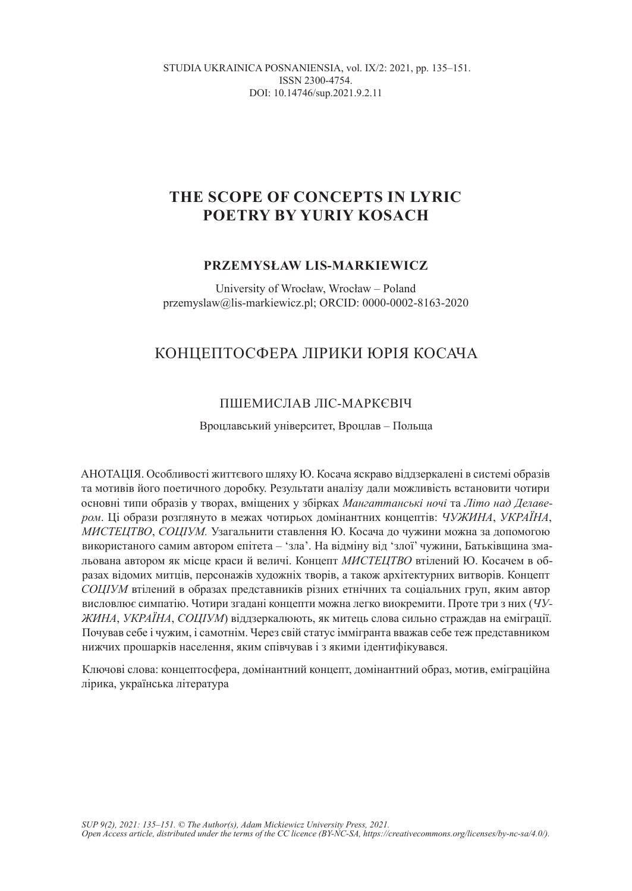STUDIA UKRAINICA POSNANIENSIA, vol. IX/2: 2021, pp. 135–151. ISSN 2300-4754. DOI: 10.14746/sup.2021.9.2.11

# **THE SCOPE OF CONCEPTS IN LYRIC POETRY BY YURIY KOSACH**

### **PRZEMYSŁAW LIS-MARKIEWICZ**

University of Wrocław, Wrocław – Poland przemyslaw@lis-markiewicz.pl; ORCID: 0000-0002-8163-2020

# КОНЦЕПТОСФЕРА ЛІРИКИ ЮРІЯ КОСАЧА

### ПШЕМИСЛАВ ЛІС-МАРКЄВІЧ

#### Вроцлавський університет, Вроцлав – Польща

AHOTAЦIЯ. Особливості життєвого шляху Ю. Косача яскраво віддзеркалені в системі образів та мотивів його поетичного доробку. Результати аналізу дали можливість встановити чотири основні типи образів у творах, вміщених у збірках *Мангаттанські ночі* та *Літо над Делавером*. Ці образи розглянуто в межах чотирьох домінантних концептів: *ЧУЖИНА*, *УКРАЇНА*, *МИСТЕЦТВО*, *СОЦІУМ.* Узагальнити ставлення Ю. Косача до чужини можна за допомогою використаного самим автором епітета – 'зла'. На відміну від 'злої' чужини, Батьківщина змальована автором як місце краси й величі. Концепт *МИСТЕЦТВО* втілений Ю. Косачем в образах відомих митців, персонажів художніх творів, а також архітектурних витворів. Концепт *СОЦІУМ* втілений в образах представників різних етнічних та соціальних груп, яким автор висловлює симпатію. Чотири згадані концепти можна легко виокремити. Проте три з них (*ЧУ-ЖИНА*, *УКРАЇНА*, *СОЦІУМ*) віддзеркалюють, як митець слова сильно страждав на еміграції. Почував себе і чужим, і самотнім. Через свій статус іммігранта вважав себе теж представником нижчих прошарків населення, яким співчував і з якими ідентифікувався.

Ключові слова: концептосфера, домінантний концепт, домінантний образ, мотив, еміграційна лірика, українська література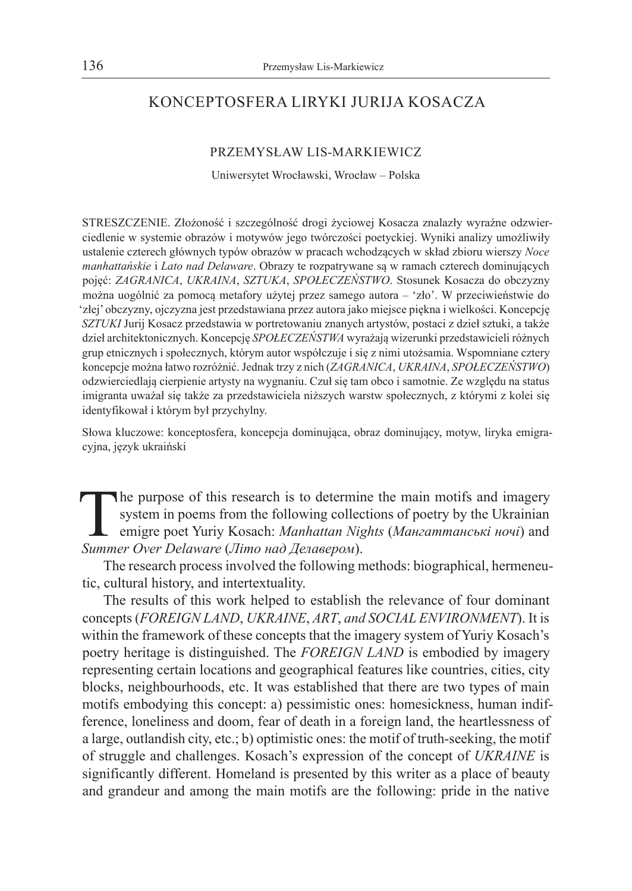# KONCEPTOSFERA LIRYKI JURIJA KOSACZA

#### PRZEMYSŁAW LIS-MARKIEWICZ

Uniwersytet Wrocławski, Wrocław – Polska

STRESZCZENIE. Złożoność i szczególność drogi życiowej Kosacza znalazły wyraźne odzwierciedlenie w systemie obrazów i motywów jego twórczości poetyckiej. Wyniki analizy umożliwiły ustalenie czterech głównych typów obrazów w pracach wchodzących w skład zbioru wierszy *Noce manhattańskie* i *Lato nad Delaware*. Obrazy te rozpatrywane są w ramach czterech dominujących pojęć: *ZAGRANICA*, *UKRAINA*, *SZTUKA*, *SPOŁECZEŃSTWO*. Stosunek Kosacza do obczyzny można uogólnić za pomocą metafory użytej przez samego autora – 'zło'. W przeciwieństwie do 'złej' obczyzny, ojczyzna jest przedstawiana przez autora jako miejsce piękna i wielkości. Koncepcję *SZTUKI* Jurij Kosacz przedstawia w portretowaniu znanych artystów, postaci z dzieł sztuki, a także dzieł architektonicznych. Koncepcję *SPOŁECZEŃSTWA* wyrażają wizerunki przedstawicieli różnych grup etnicznych i społecznych, którym autor współczuje i się z nimi utożsamia. Wspomniane cztery koncepcje można łatwo rozróżnić. Jednak trzy z nich (*ZAGRANICA*, *UKRAINA*, *SPOŁECZEŃSTWO*) odzwierciedlają cierpienie artysty na wygnaniu. Czuł się tam obco i samotnie. Ze względu na status imigranta uważał się także za przedstawiciela niższych warstw społecznych, z którymi z kolei się identyfikował i którym był przychylny.

Słowa kluczowe: konceptosfera, koncepcja dominująca, obraz dominujący, motyw, liryka emigracyjna, język ukraiński

The purpose of this research is to determine the main motifs and imagery system in poems from the following collections of poetry by the Ukrainian emigre poet Yuriy Kosach: *Manhattan Nights* (*Мангаттанські ночі*) and *Summer Over Delaware* (*Літо над Делавером*).

The research process involved the following methods: biographical, hermeneutic, cultural history, and intertextuality.

The results of this work helped to establish the relevance of four dominant concepts (*FOREIGN LAND*, *UKRAINE*, *ART*, *and SOCIAL ENVIRONMENT*). It is within the framework of these concepts that the imagery system of Yuriy Kosach's poetry heritage is distinguished. The *FOREIGN LAND* is embodied by imagery representing certain locations and geographical features like countries, cities, city blocks, neighbourhoods, etc. It was established that there are two types of main motifs embodying this concept: a) pessimistic ones: homesickness, human indifference, loneliness and doom, fear of death in a foreign land, the heartlessness of a large, outlandish city, etc.; b) optimistic ones: the motif of truth-seeking, the motif of struggle and challenges. Kosach's expression of the concept of *UKRAINE* is significantly different. Homeland is presented by this writer as a place of beauty and grandeur and among the main motifs are the following: pride in the native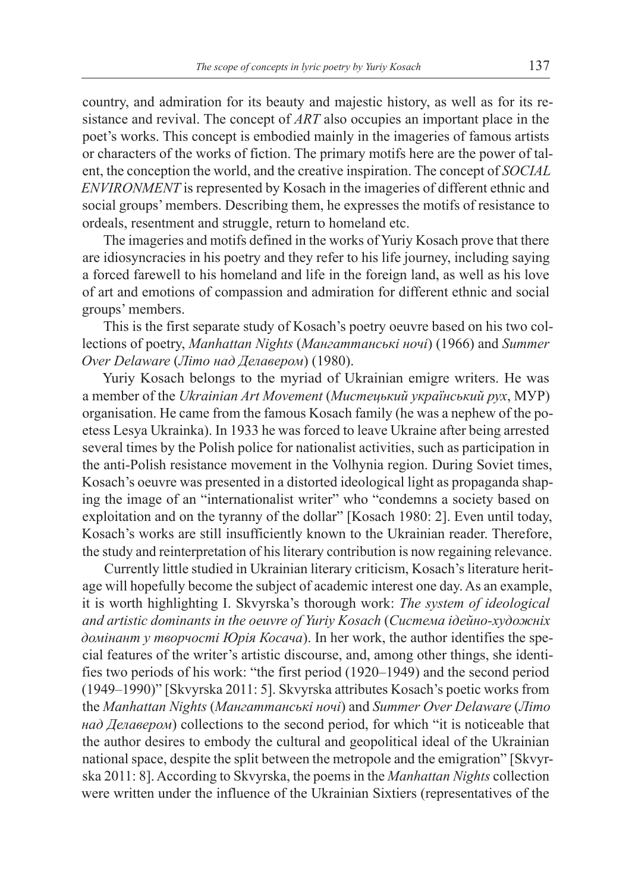country, and admiration for its beauty and majestic history, as well as for its resistance and revival. The concept of *ART* also occupies an important place in the poet's works. This concept is embodied mainly in the imageries of famous artists or characters of the works of fiction. The primary motifs here are the power of talent, the conception the world, and the creative inspiration. The concept of *SOCIAL ENVIRONMENT* is represented by Kosach in the imageries of different ethnic and social groups' members. Describing them, he expresses the motifs of resistance to ordeals, resentment and struggle, return to homeland etc.

The imageries and motifs defined in the works of Yuriy Kosach prove that there are idiosyncracies in his poetry and they refer to his life journey, including saying a forced farewell to his homeland and life in the foreign land, as well as his love of art and emotions of compassion and admiration for different ethnic and social groups' members.

This is the first separate study of Kosach's poetry oeuvre based on his two collections of poetry, *Manhattan Nights* (*Мангаттанські ночі*) (1966) and *Summer Over Delaware* (*Літо над Делавером*) (1980).

Yuriy Kosach belongs to the myriad of Ukrainian emigre writers. He was a member of the *Ukrainian Art Movement* (*Мистецький український рух*, МУР) organisation. He came from the famous Kosach family (he was a nephew of the poetess Lesya Ukrainka). In 1933 he was forced to leave Ukraine after being arrested several times by the Polish police for nationalist activities, such as participation in the anti-Polish resistance movement in the Volhynia region. During Soviet times, Kosach's oeuvre was presented in a distorted ideological light as propaganda shaping the image of an "internationalist writer" who "condemns a society based on exploitation and on the tyranny of the dollar" [Kosach 1980: 2]. Even until today, Kosach's works are still insufficiently known to the Ukrainian reader. Therefore, the study and reinterpretation of his literary contribution is now regaining relevance.

Currently little studied in Ukrainian literary criticism, Kosach's literature heritage will hopefully become the subject of academic interest one day. As an example, it is worth highlighting I. Skvyrska's thorough work: *The system of ideological and artistic dominants in the oeuvre of Yuriy Kosach* (*Система ідейно-художніх домінант у творчості Юрія Косача*). In her work, the author identifies the special features of the writer's artistic discourse, and, among other things, she identifies two periods of his work: "the first period (1920–1949) and the second period (1949–1990)" [Skvyrska 2011: 5]. Skvyrska attributes Kosach's poetic works from the *Manhattan Nights* (*Мангаттанські ночі*) and *Summer Over Delaware* (*Літо над Делавером*) collections to the second period, for which "it is noticeable that the author desires to embody the cultural and geopolitical ideal of the Ukrainian national space, despite the split between the metropole and the emigration" [Skvyrska 2011: 8]. According to Skvyrska, the poems in the *Manhattan Nights* collection were written under the influence of the Ukrainian Sixtiers (representatives of the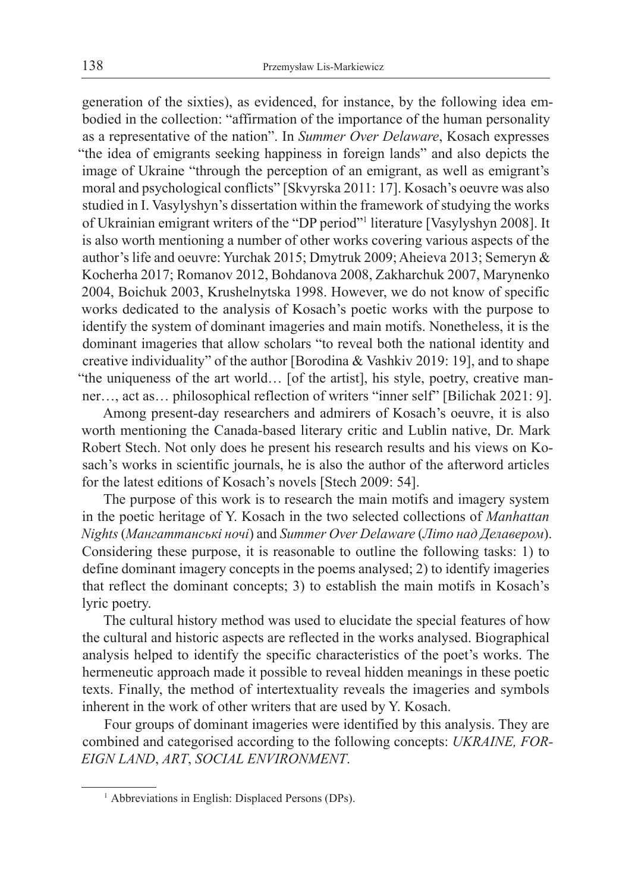generation of the sixties), as evidenced, for instance, by the following idea embodied in the collection: "affirmation of the importance of the human personality as a representative of the nation". In *Summer Over Delaware*, Kosach expresses "the idea of emigrants seeking happiness in foreign lands" and also depicts the image of Ukraine "through the perception of an emigrant, as well as emigrant's moral and psychological conflicts" [Skvyrska 2011: 17]. Kosach's oeuvre was also studied in I. Vasylyshyn's dissertation within the framework of studying the works of Ukrainian emigrant writers of the "DP period"<sup>1</sup> literature [Vasylyshyn 2008]. It is also worth mentioning a number of other works covering various aspects of the author's life and oeuvre: Yurchak 2015; Dmytruk 2009; Aheieva 2013; Semeryn & Kocherha 2017; Romanov 2012, Bohdanova 2008, Zakharchuk 2007, Marynenko 2004, Boichuk 2003, Krushelnytska 1998. However, we do not know of specific works dedicated to the analysis of Kosach's poetic works with the purpose to identify the system of dominant imageries and main motifs. Nonetheless, it is the dominant imageries that allow scholars "to reveal both the national identity and creative individuality" of the author [Borodina & Vashkiv 2019: 19], and to shape "the uniqueness of the art world… [of the artist], his style, poetry, creative manner…, act as… philosophical reflection of writers "inner self" [Bilichak 2021: 9].

Among present-day researchers and admirers of Kosach's oeuvre, it is also worth mentioning the Canada-based literary critic and Lublin native, Dr. Mark Robert Stech. Not only does he present his research results and his views on Kosach's works in scientific journals, he is also the author of the afterword articles for the latest editions of Kosach's novels [Stech 2009: 54].

The purpose of this work is to research the main motifs and imagery system in the poetic heritage of Y. Kosach in the two selected collections of *Manhattan Nights* (*Мангаттанські ночі*) and *Summer Over Delaware* (*Літо над Делавером*). Considering these purpose, it is reasonable to outline the following tasks: 1) to define dominant imagery concepts in the poems analysed; 2) to identify imageries that reflect the dominant concepts; 3) to establish the main motifs in Kosach's lyric poetry.

The cultural history method was used to elucidate the special features of how the cultural and historic aspects are reflected in the works analysed. Biographical analysis helped to identify the specific characteristics of the poet's works. The hermeneutic approach made it possible to reveal hidden meanings in these poetic texts. Finally, the method of intertextuality reveals the imageries and symbols inherent in the work of other writers that are used by Y. Kosach.

Four groups of dominant imageries were identified by this analysis. They are combined and categorised according to the following concepts: *UKRAINE, FOR-EIGN LAND*, *ART*, *SOCIAL ENVIRONMENT*.

<sup>&</sup>lt;sup>1</sup> Abbreviations in English: Displaced Persons (DPs).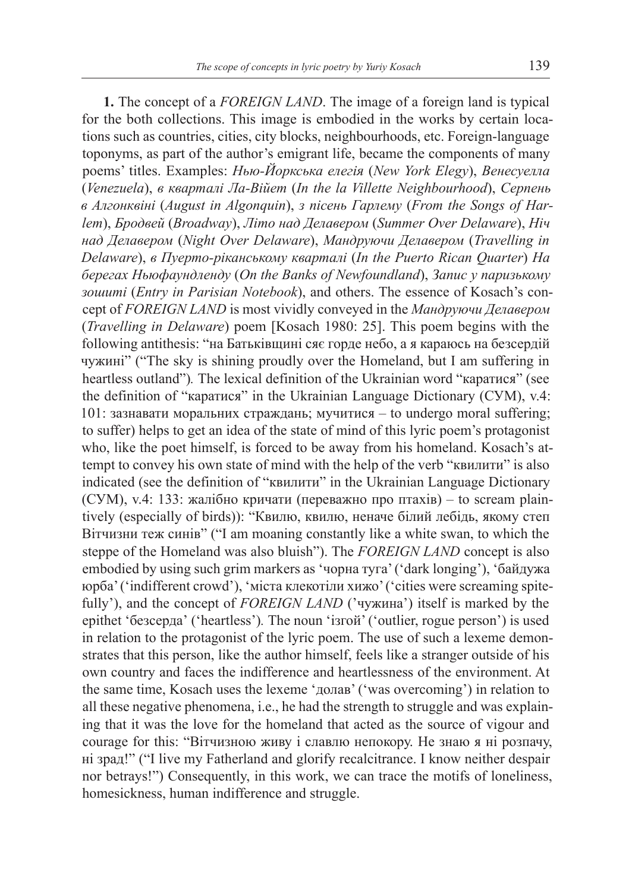**1.** The concept of a *FOREIGN LAND*. The image of a foreign land is typical for the both collections. This image is embodied in the works by certain locations such as countries, cities, city blocks, neighbourhoods, etc. Foreign-language toponyms, as part of the author's emigrant life, became the components of many poems' titles. Examples: *Нью-Йоркська елегія* (*New York Elegy*), *Венесуелла*  (*Venezuela*), *в кварталі Ла-Війет* (*In the la Villette Neighbourhood*), *Серпень в Алгонквіні* (*August in Algonquin*), *з пісень Гарлему* (*From the Songs of Harlem*), *Бродвей* (*Broadway*), *Літо над Делавером* (*Summer Over Delaware*), *Ніч над Делавером* (*Night Over Delaware*), *Мандруючи Делавером* (*Travelling in Delaware*), *в Пуерто-ріканському кварталі* (*In the Puerto Rican Quarter*) *На берегах Ньюфаундленду* (*On the Banks of Newfoundland*), *Запис у паризькому зошиті* (*Entry in Parisian Notebook*), and others. The essence of Kosach's concept of *FOREIGN LAND* is most vividly conveyed in the *Мандруючи Делавером* (*Travelling in Delaware*) poem [Kosach 1980: 25]. This poem begins with the following antithesis: "на Батьківщині сяє горде небо, а я караюсь на безсердій чужині" ("The sky is shining proudly over the Homeland, but I am suffering in heartless outland")*.* The lexical definition of the Ukrainian word "каратися" (see the definition of "каратися" in the Ukrainian Language Dictionary (СУМ), v.4: 101: зазнавати моральних страждань; мучитися – to undergo moral suffering; to suffer) helps to get an idea of the state of mind of this lyric poem's protagonist who, like the poet himself, is forced to be away from his homeland. Kosach's attempt to convey his own state of mind with the help of the verb "квилити" is also indicated (see the definition of "квилити" in the Ukrainian Language Dictionary (СУМ), v.4: 133: жалібно кричати (переважно про птахів) – to scream plaintively (especially of birds)): "Квилю, квилю, неначе білий лебідь, якому степ Вітчизни теж синів" ("I am moaning constantly like a white swan, to which the steppe of the Homeland was also bluish"). The *FOREIGN LAND* concept is also embodied by using such grim markers as 'чорна туга' ('dark longing'), 'байдужа юрба' ('indifferent crowd'), 'міста клекотіли хижо' ('cities were screaming spitefully'), and the concept of *FOREIGN LAND* ('чужина') itself is marked by the epithet 'безсерда' ('heartless')*.* The noun 'ізгой' ('outlier, rogue person') is used in relation to the protagonist of the lyric poem. The use of such a lexeme demonstrates that this person, like the author himself, feels like a stranger outside of his own country and faces the indifference and heartlessness of the environment. At the same time, Kosach uses the lexeme 'долав' ('was overcoming') in relation to all these negative phenomena, i.e., he had the strength to struggle and was explaining that it was the love for the homeland that acted as the source of vigour and courage for this: "Вітчизною живу і славлю непокору. Не знаю я ні розпачу, ні зрад!" ("I live my Fatherland and glorify recalcitrance. I know neither despair nor betrays!") Consequently, in this work, we can trace the motifs of loneliness, homesickness, human indifference and struggle.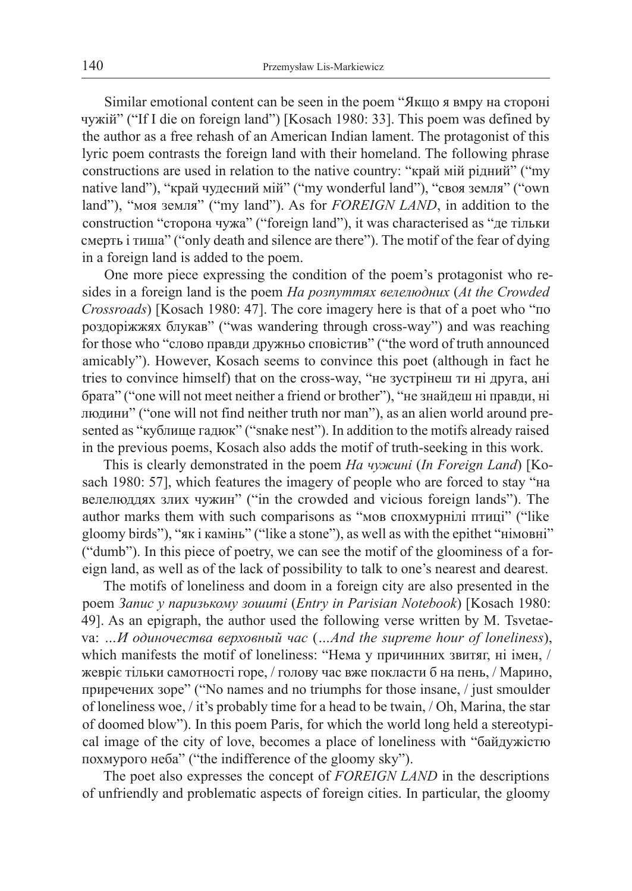Similar emotional content can be seen in the poem "Якщо я вмру на стороні чужій" ("If I die on foreign land") [Kosach 1980: 33]. This poem was defined by the author as a free rehash of an American Indian lament. The protagonist of this lyric poem contrasts the foreign land with their homeland. The following phrase constructions are used in relation to the native country: "край мій рідний" ("my native land"), "край чудесний мій" ("my wonderful land"), "своя земля" ("own land"), "моя земля" ("my land"). As for *FOREIGN LAND*, in addition to the construction "сторона чужа" ("foreign land"), it was characterised as "де тільки смерть і тиша" ("only death and silence are there"). The motif of the fear of dying in a foreign land is added to the poem.

One more piece expressing the condition of the poem's protagonist who resides in a foreign land is the poem *На розпуттях велелюдних* (*At the Crowded Crossroads*) [Kosach 1980: 47]. The core imagery here is that of a poet who "по роздоріжжях блукав" ("was wandering through cross-way") and was reaching for those who "слово правди дружньо сповістив" ("the word of truth announced amicably"). However, Kosach seems to convince this poet (although in fact he tries to convince himself) that on the cross-way, "не зустрінеш ти ні друга, ані брата" ("one will not meet neither a friend or brother"), "не знайдеш ні правди, ні людини" ("one will not find neither truth nor man"), as an alien world around presented as "кублище гадюк" ("snake nest"). In addition to the motifs already raised in the previous poems, Kosach also adds the motif of truth-seeking in this work.

This is clearly demonstrated in the poem *На чужині* (*In Foreign Land*) [Kosach 1980: 57], which features the imagery of people who are forced to stay "на велелюддях злих чужин" ("in the crowded and vicious foreign lands"). The author marks them with such comparisons as "мов спохмурнілі птиці" ("like gloomy birds"), "як і камінь" ("like a stone"), as well as with the epithet "німовні" ("dumb"). In this piece of poetry, we can see the motif of the gloominess of a foreign land, as well as of the lack of possibility to talk to one's nearest and dearest.

The motifs of loneliness and doom in a foreign city are also presented in the poem *Запис у паризькому зошиті* (*Entry in Parisian Notebook*) [Kosach 1980: 49]. As an epigraph, the author used the following verse written by M. Tsvetaeva: *…И одиночества верховный час* (*…And the supreme hour of loneliness*), which manifests the motif of loneliness: "Нема у причинних звитяг, ні імен, / жевріє тільки самотності горе, / голову час вже покласти б на пень, / Марино, приречених зоре" ("No names and no triumphs for those insane, / just smoulder of loneliness woe, / it's probably time for a head to be twain, / Oh, Marina, the star of doomed blow"). In this poem Paris, for which the world long held a stereotypical image of the city of love, becomes a place of loneliness with "байдужістю похмурого неба" ("the indifference of the gloomy sky").

The poet also expresses the concept of *FOREIGN LAND* in the descriptions of unfriendly and problematic aspects of foreign cities. In particular, the gloomy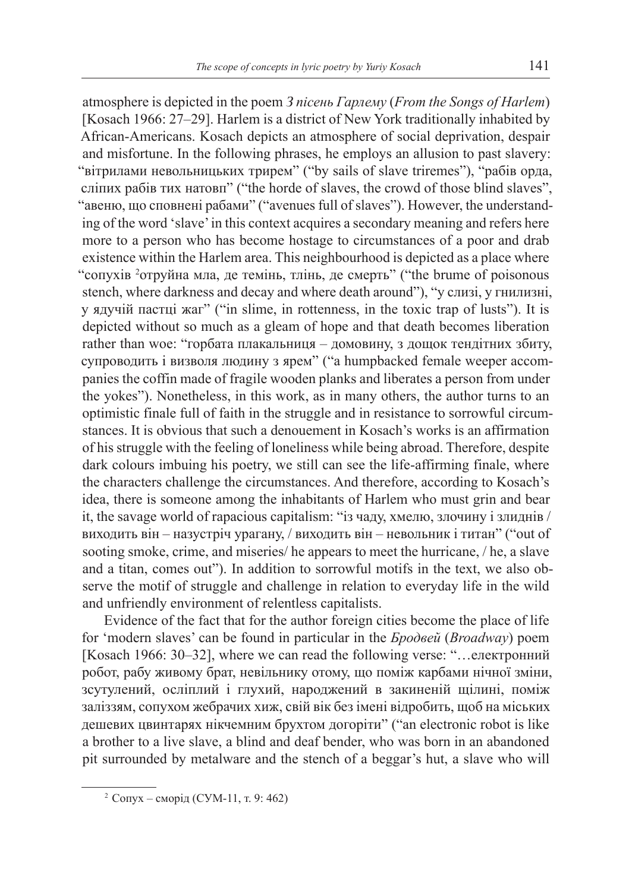atmosphere is depicted in the poem *З пісень Гарлему* (*From the Songs of Harlem*) [Kosach 1966: 27–29]. Harlem is a district of New York traditionally inhabited by African-Americans. Kosach depicts an atmosphere of social deprivation, despair and misfortune. In the following phrases, he employs an allusion to past slavery: "вітрилами невольницьких трирем" ("by sails of slave triremes"), "рабів орда, сліпих рабів тих натовп" ("the horde of slaves, the crowd of those blind slaves", "авеню, що сповнені рабами" ("avenues full of slaves"). However, the understanding of the word 'slave' in this context acquires a secondary meaning and refers here more to a person who has become hostage to circumstances of a poor and drab existence within the Harlem area. This neighbourhood is depicted as a place where "сопухів 2 отруйна мла, де темінь, тлінь, де смерть" ("the brume of poisonous stench, where darkness and decay and where death around"), "у слизі, у гнилизні, у ядучій пастці жаг" ("in slime, in rottenness, in the toxic trap of lusts"). It is depicted without so much as a gleam of hope and that death becomes liberation rather than woe: "горбата плакальниця – домовину, з дощок тендітних збиту, супроводить і визволя людину з ярем" ("a humpbacked female weeper accompanies the coffin made of fragile wooden planks and liberates a person from under the yokes"). Nonetheless, in this work, as in many others, the author turns to an optimistic finale full of faith in the struggle and in resistance to sorrowful circumstances. It is obvious that such a denouement in Kosach's works is an affirmation of his struggle with the feeling of loneliness while being abroad. Therefore, despite dark colours imbuing his poetry, we still can see the life-affirming finale, where the characters challenge the circumstances. And therefore, according to Kosach's idea, there is someone among the inhabitants of Harlem who must grin and bear it, the savage world of rapacious capitalism: "із чаду, хмелю, злочину і злиднів / виходить він – назустріч урагану, / виходить він – невольник і титан" ("out of sooting smoke, crime, and miseries/ he appears to meet the hurricane, / he, a slave and a titan, comes out"). In addition to sorrowful motifs in the text, we also observe the motif of struggle and challenge in relation to everyday life in the wild and unfriendly environment of relentless capitalists.

Evidence of the fact that for the author foreign cities become the place of life for 'modern slaves' can be found in particular in the *Бродвей* (*Broadway*) poem [Kosach 1966: 30–32], where we can read the following verse: "…електронний робот, рабу живому брат, невільнику отому, що поміж карбами нічної зміни, зсутулений, осліплий і глухий, народжений в закиненій щілині, поміж заліззям, сопухом жебрачих хиж, свій вік без імені відробить, щоб на міських дешевих цвинтарях нікчемним брухтом догоріти" ("an electronic robot is like a brother to a live slave, a blind and deaf bender, who was born in an abandoned pit surrounded by metalware and the stench of a beggar's hut, a slave who will

<sup>2</sup> Сопух – сморід (СУМ-11, т. 9: 462)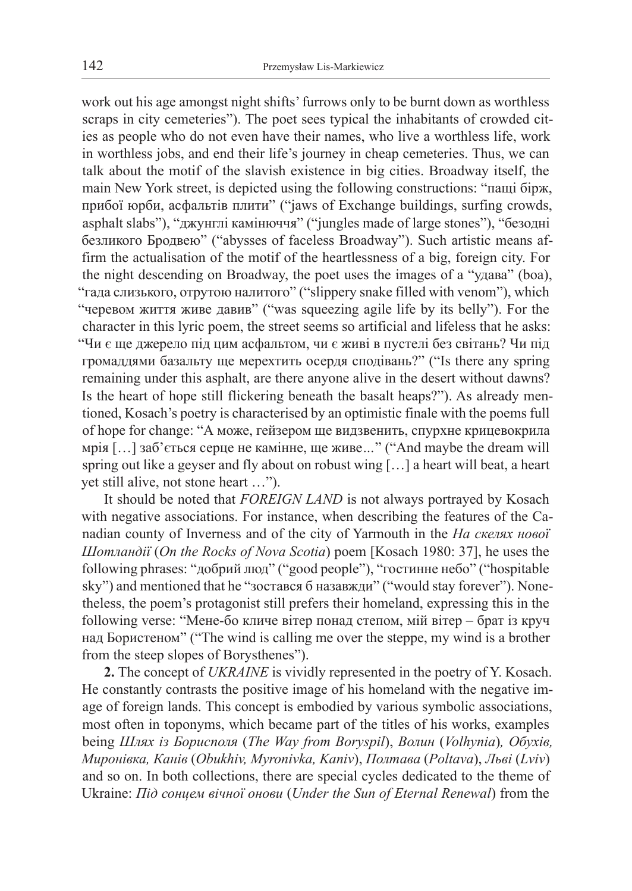work out his age amongst night shifts' furrows only to be burnt down as worthless scraps in city cemeteries"). The poet sees typical the inhabitants of crowded cities as people who do not even have their names, who live a worthless life, work in worthless jobs, and end their life's journey in cheap cemeteries. Thus, we can talk about the motif of the slavish existence in big cities. Broadway itself, the main New York street, is depicted using the following constructions: "пащі бірж, прибої юрби, асфальтів плити" ("jaws of Exchange buildings, surfing crowds, asphalt slabs"), "джунглі камінюччя" ("jungles made of large stones"), "безодні безликого Бродвею" ("abysses of faceless Broadway"). Such artistic means affirm the actualisation of the motif of the heartlessness of a big, foreign city. For the night descending on Broadway, the poet uses the images of a "удава" (boa), "гада слизького, отрутою налитого" ("slippery snake filled with venom"), which "черевом життя живе давив" ("was squeezing agile life by its belly"). For the character in this lyric poem, the street seems so artificial and lifeless that he asks: "Чи є ще джерело під цим асфальтом, чи є живі в пустелі без світань? Чи під громаддями базальту ще мерехтить осердя сподівань?" ("Is there any spring remaining under this asphalt, are there anyone alive in the desert without dawns? Is the heart of hope still flickering beneath the basalt heaps?"). As already mentioned, Kosach's poetry is characterised by an optimistic finale with the poems full of hope for change: "А може, гейзером ще видзвенить, спурхне крицевокрила мрія […] заб'ється серце не камінне, ще живе*…*" ("And maybe the dream will spring out like a geyser and fly about on robust wing […] a heart will beat, a heart yet still alive, not stone heart …").

It should be noted that *FOREIGN LAND* is not always portrayed by Kosach with negative associations. For instance, when describing the features of the Canadian county of Inverness and of the city of Yarmouth in the *На скелях нової Шотландії* (*On the Rocks of Nova Scotia*) poem [Kosach 1980: 37], he uses the following phrases: "добрий люд" ("good people"), "гостинне небо" ("hospitable sky") and mentioned that he "зостався б назавжди" ("would stay forever"). Nonetheless, the poem's protagonist still prefers their homeland, expressing this in the following verse: "Мене-бо кличе вітер понад степом, мій вітер – брат із круч над Бористеном" ("The wind is calling me over the steppe, my wind is a brother from the steep slopes of Borysthenes").

**2.** The concept of *UKRAINE* is vividly represented in the poetry of Y. Kosach. He constantly contrasts the positive image of his homeland with the negative image of foreign lands. This concept is embodied by various symbolic associations, most often in toponyms, which became part of the titles of his works, examples being *Шлях із Борисполя* (*The Way from Boryspil*), *Волин* (*Volhynia*)*, Обухів, Миронівка, Канів* (*Obukhiv, Myronivka, Kaniv*), *Полтава* (*Poltava*), *Льві* (*Lviv*) and so on. In both collections, there are special cycles dedicated to the theme of Ukraine: *Під сонцем вічної онови* (*Under the Sun of Eternal Renewal*) from the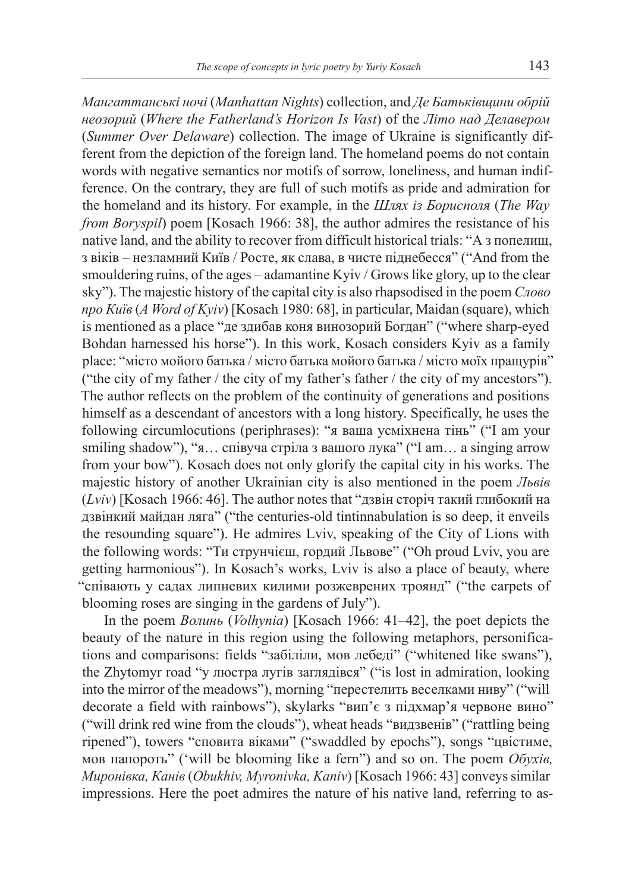*Мангаттанські ночі* (*Manhattan Nights*) collection, and *Де Батьківщини обрій неозорий* (*Where the Fatherland's Horizon Is Vast*) of the *Літо над Делавером* (*Summer Over Delaware*) collection. The image of Ukraine is significantly different from the depiction of the foreign land. The homeland poems do not contain words with negative semantics nor motifs of sorrow, loneliness, and human indifference. On the contrary, they are full of such motifs as pride and admiration for the homeland and its history. For example, in the *Шлях із Борисполя* (*The Way from Boryspil*) poem [Kosach 1966: 38], the author admires the resistance of his native land, and the ability to recover from difficult historical trials: "А з попелищ, з віків – незламний Київ / Росте, як слава, в чисте піднебесся" ("And from the smouldering ruins, of the ages – adamantine Kyiv / Grows like glory, up to the clear sky"). The majestic history of the capital city is also rhapsodised in the poem *Слово про Київ* (*A Word of Kyiv*) [Kosach 1980: 68], in particular, Maidan (square), which is mentioned as a place "де здибав коня винозорий Богдан" ("where sharp-eyed Bohdan harnessed his horse"). In this work, Kosach considers Kyiv as a family place: "місто мойого батька / місто батька мойого батька / місто моїх пращурів" ("the city of my father / the city of my father's father / the city of my ancestors"). The author reflects on the problem of the continuity of generations and positions himself as a descendant of ancestors with a long history. Specifically, he uses the following circumlocutions (periphrases): "я ваша усміхнена тінь" ("I am your smiling shadow"), "я... співуча стріла з вашого лука" ("I am... a singing arrow from your bow"). Kosach does not only glorify the capital city in his works. The majestic history of another Ukrainian city is also mentioned in the poem *Львів* (*Lviv*) [Kosach 1966: 46]. The author notes that "дзвін сторіч такий глибокий на дзвінкий майдан ляга" ("the centuries-old tintinnabulation is so deep, it enveils the resounding square"). He admires Lviv, speaking of the City of Lions with the following words: "Ти струнчієш, гордий Львове" ("Oh proud Lviv, you are getting harmonious"). In Kosach's works, Lviv is also a place of beauty, where "співають у садах липневих килими розжеврених троянд" ("the carpets of blooming roses are singing in the gardens of July").

In the poem *Волинь* (*Volhynia*) [Kosach 1966: 41–42], the poet depicts the beauty of the nature in this region using the following metaphors, personifications and comparisons: fields "забіліли, мов лебеді" ("whitened like swans"), the Zhytomyr road "у люстра лугів заглядівся" ("is lost in admiration, looking into the mirror of the meadows"), morning "перестелить веселками ниву" ("will decorate a field with rainbows"), skylarks "вип'є з підхмар'я червоне вино" ("will drink red wine from the clouds"), wheat heads "видзвенів" ("rattling being ripened"), towers "сповита віками" ("swaddled by epochs"), songs "цвістиме, мов папороть" ('will be blooming like a fern") and so on. The poem *Обухів, Миронівка, Канів* (*Obukhiv, Myronivka, Kaniv*) [Kosach 1966: 43] conveys similar impressions. Here the poet admires the nature of his native land, referring to as-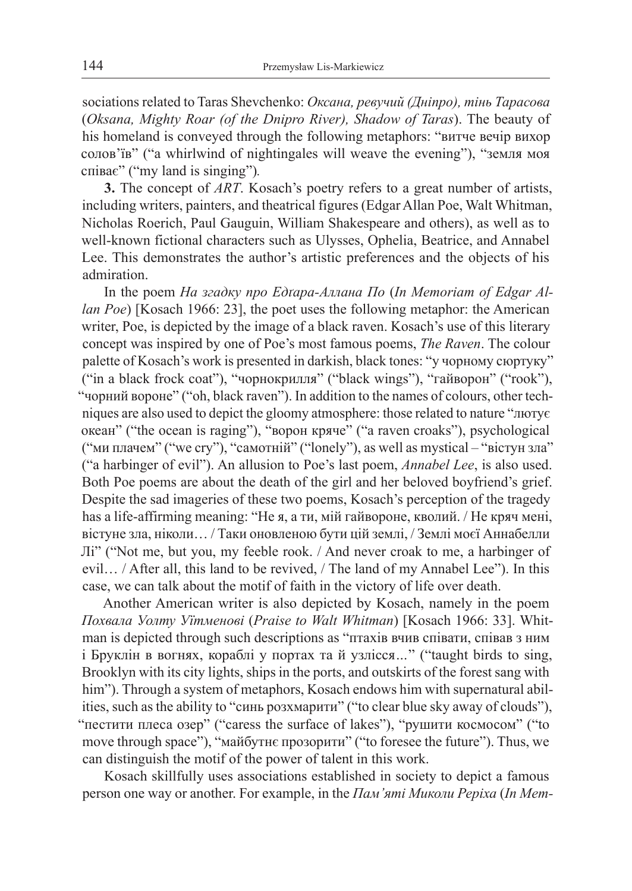sociations related to Taras Shevchenko: *Оксана, ревучий (Дніпро), тінь Тарасова* (*Oksana, Mighty Roar (of the Dnipro River), Shadow of Taras*). The beauty of his homeland is conveyed through the following metaphors: "витче вечір вихор солов'їв" ("a whirlwind of nightingales will weave the evening"), "земля моя співає" ("my land is singing")*.* 

**3.** The concept of *ART*. Kosach's poetry refers to a great number of artists, including writers, painters, and theatrical figures (Edgar Allan Poe, Walt Whitman, Nicholas Roerich, Paul Gauguin, William Shakespeare and others), as well as to well-known fictional characters such as Ulysses, Ophelia, Beatrice, and Annabel Lee. This demonstrates the author's artistic preferences and the objects of his admiration.

In the poem *На згадку про Едґара-Аллана По* (*In Memoriam of Edgar Allan Poe*) [Kosach 1966: 23], the poet uses the following metaphor: the American writer, Poe, is depicted by the image of a black raven. Kosach's use of this literary concept was inspired by one of Poe's most famous poems, *The Raven*. The colour palette of Kosach's work is presented in darkish, black tones: "у чорному сюртуку" ("in a black frock coat"), "чорнокрилля" ("black wings"), "гайворон" ("rook"), "чорний вороне" ("oh, black raven"). In addition to the names of colours, other techniques are also used to depict the gloomy atmosphere: those related to nature "лютує океан" ("the ocean is raging"), "ворон кряче" ("a raven croaks"), psychological ("ми плачем" ("we cry"), "самотній" ("lonely"), as well as mystical – "вістун зла" ("a harbinger of evil"). An allusion to Poe's last poem, *Annabel Lee*, is also used. Both Poe poems are about the death of the girl and her beloved boyfriend's grief. Despite the sad imageries of these two poems, Kosach's perception of the tragedy has a life-affirming meaning: "Не я, а ти, мій гайвороне, кволий. / Не кряч мені, вістуне зла, ніколи… / Таки оновленою бути цій землі, / Землі моєї Аннабелли Лі" ("Not me, but you, my feeble rook. / And never croak to me, a harbinger of evil… / After all, this land to be revived, / The land of my Annabel Lee"). In this case, we can talk about the motif of faith in the victory of life over death.

Another American writer is also depicted by Kosach, namely in the poem *Похвала Уолту Уїтменові* (*Praise to Walt Whitman*) [Kosach 1966: 33]. Whitman is depicted through such descriptions as "птахів вчив співати, співав з ним і Бруклін в вогнях, кораблі у портах та й узлісся*…*" ("taught birds to sing, Brooklyn with its city lights, ships in the ports, and outskirts of the forest sang with him"). Through a system of metaphors, Kosach endows him with supernatural abilities, such as the ability to "синь розхмарити" ("to clear blue sky away of clouds"), "пестити плеса озер" ("caress the surface of lakes"), "рушити космосом" ("to move through space"), "майбутнє прозорити" ("to foresee the future"). Thus, we can distinguish the motif of the power of talent in this work.

Kosach skillfully uses associations established in society to depict a famous person one way or another. For example, in the *Пам'яті Миколи Реріха* (*In Mem-*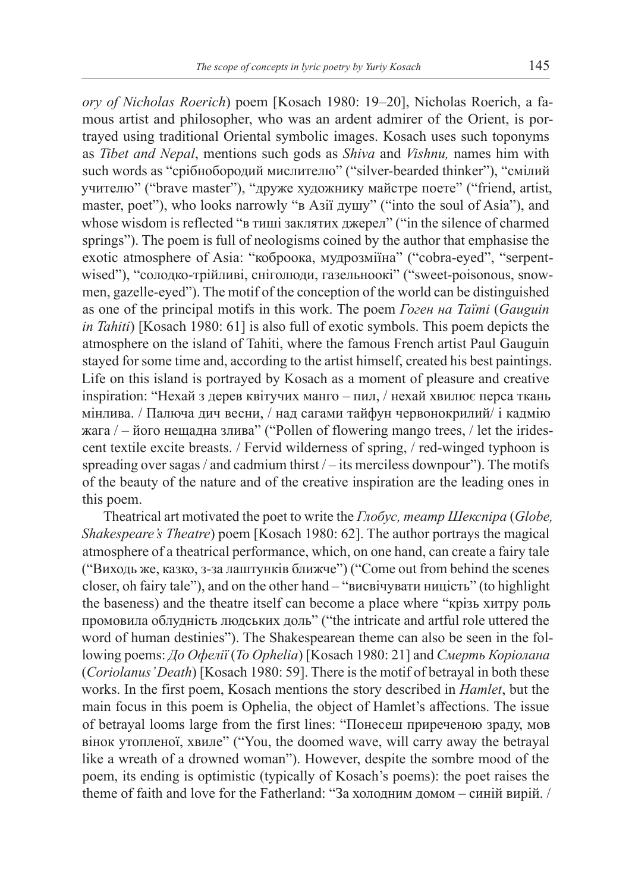*ory of Nicholas Roerich*) poem [Kosach 1980: 19–20], Nicholas Roerich, a famous artist and philosopher, who was an ardent admirer of the Orient, is portrayed using traditional Oriental symbolic images. Kosach uses such toponyms as *Tibet and Nepal*, mentions such gods as *Shiva* and *Vishnu,* names him with such words as "срібнобородий мислителю" ("silver-bearded thinker"), "смілий учителю" ("brave master"), "друже художнику майстре поете" ("friend, artist, master, poet"), who looks narrowly "в Азії душу" ("into the soul of Asia"), and whose wisdom is reflected "в тиші заклятих джерел" ("in the silence of charmed springs"). The poem is full of neologisms coined by the author that emphasise the exotic atmosphere of Asia: "коброока, мудрозміїна" ("cobra-eyed", "serpentwised"), "солодко-трійливі, сніголюди, газельноокі" ("sweet-poisonous, snowmen, gazelle-eyed"). The motif of the conception of the world can be distinguished as one of the principal motifs in this work. The poem *Гоген на Таїті* (*Gauguin in Tahiti*) [Kosach 1980: 61] is also full of exotic symbols. This poem depicts the atmosphere on the island of Tahiti, where the famous French artist Paul Gauguin stayed for some time and, according to the artist himself, created his best paintings. Life on this island is portrayed by Kosach as a moment of pleasure and creative inspiration: "Нехай з дерев квітучих манго – пил, / нехай хвилює перса ткань мінлива. / Палюча дич весни, / над сагами тайфун червонокрилий/ і кадмію жага  $/$  – його нещадна злива" ("Pollen of flowering mango trees,  $/$  let the iridescent textile excite breasts. / Fervid wilderness of spring, / red-winged typhoon is spreading over sagas / and cadmium thirst / – its merciless downpour"). The motifs of the beauty of the nature and of the creative inspiration are the leading ones in this poem.

Theatrical art motivated the poet to write the *Глобус, театр Шекспіра* (*Globe, Shakespeare's Theatre*) poem [Kosach 1980: 62]. The author portrays the magical atmosphere of a theatrical performance, which, on one hand, can create a fairy tale ("Виходь же, казко, з-за лаштунків ближче") ("Come out from behind the scenes closer, oh fairy tale"), and on the other hand – "висвічувати ницість" (to highlight the baseness) and the theatre itself can become a place where "крізь хитру роль промовила облудність людських доль" ("the intricate and artful role uttered the word of human destinies"). The Shakespearean theme can also be seen in the following poems: *До Офелії* (*To Ophelia*) [Kosach 1980: 21] and *Смерть Коріолана* (*Coriolanus' Death*) [Kosach 1980: 59]. There is the motif of betrayal in both these works. In the first poem, Kosach mentions the story described in *Hamlet*, but the main focus in this poem is Ophelia, the object of Hamlet's affections. The issue of betrayal looms large from the first lines: "Понесеш приреченою зраду, мов вінок утопленої, хвиле" ("You, the doomed wave, will carry away the betrayal like a wreath of a drowned woman"). However, despite the sombre mood of the poem, its ending is optimistic (typically of Kosach's poems): the poet raises the theme of faith and love for the Fatherland: "За холодним домом – синій вирій. /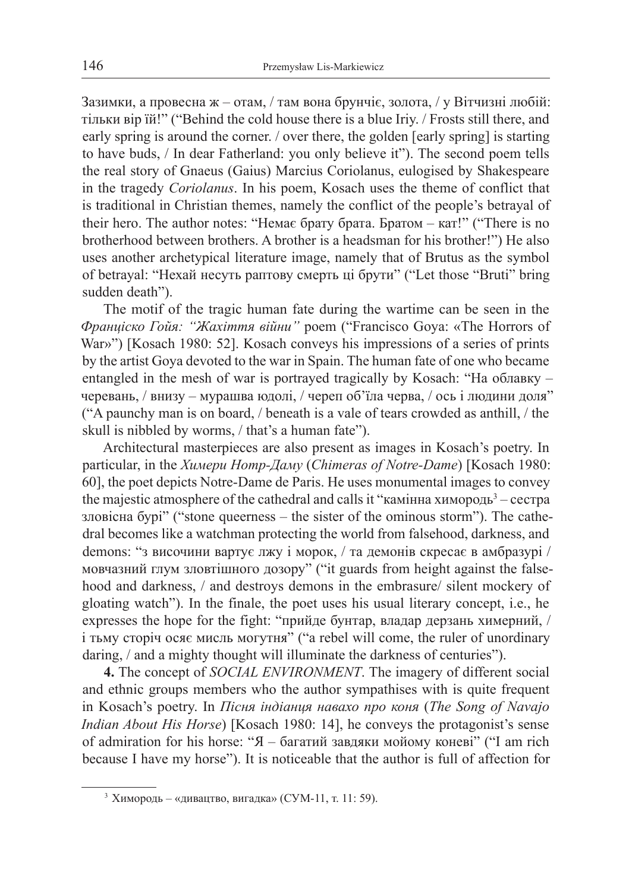Зазимки, а провесна ж – отам, / там вона брунчіє, золота, / у Вітчизні любій: тільки вір їй!" ("Behind the cold house there is a blue Iriy. / Frosts still there, and early spring is around the corner. / over there, the golden [early spring] is starting to have buds, / In dear Fatherland: you only believe it"). The second poem tells the real story of Gnaeus (Gaius) Marcius Coriolanus, eulogised by Shakespeare in the tragedy *Coriolanus*. In his poem, Kosach uses the theme of conflict that is traditional in Christian themes, namely the conflict of the people's betrayal of their hero. The author notes: "Немає брату брата. Братом – кат!" ("There is no brotherhood between brothers. A brother is a headsman for his brother!") He also uses another archetypical literature image, namely that of Brutus as the symbol of betrayal: "Нехай несуть раптову смерть ці брути" ("Let those "Bruti" bring sudden death").

The motif of the tragic human fate during the wartime can be seen in the *Франціско Гойя: "Жахіття війни"* poem ("Francisco Goya: «The Horrors of War»") [Kosach 1980: 52]. Kosach conveys his impressions of a series of prints by the artist Goya devoted to the war in Spain. The human fate of one who became entangled in the mesh of war is portrayed tragically by Kosach: "На облавку – черевань, / внизу – мурашва юдолі, / череп об'їла черва, / ось і людини доля" ("A paunchy man is on board, / beneath is a vale of tears crowded as anthill, / the skull is nibbled by worms, / that's a human fate").

Architectural masterpieces are also present as images in Kosach's poetry. In particular, in the *Химери Нотр-Даму* (*Chimeras of Notre-Dame*) [Kosach 1980: 60], the poet depicts Notre-Dame de Paris. He uses monumental images to convey the majestic atmosphere of the cathedral and calls it "камінна химородь<sup>3</sup> – сестра зловісна бурі" ("stone queerness – the sister of the ominous storm"). The cathedral becomes like a watchman protecting the world from falsehood, darkness, and demons: "з височини вартує лжу і морок, / та демонів скресає в амбразурі / мовчазний глум зловтішного дозору" ("it guards from height against the falsehood and darkness, / and destroys demons in the embrasure/ silent mockery of gloating watch"). In the finale, the poet uses his usual literary concept, i.e., he expresses the hope for the fight: "прийде бунтар, владар дерзань химерний, / і тьму сторіч осяє мисль могутня" ("a rebel will come, the ruler of unordinary daring, / and a mighty thought will illuminate the darkness of centuries").

**4.** The concept of *SOCIAL ENVIRONMENT*. The imagery of different social and ethnic groups members who the author sympathises with is quite frequent in Kosach's poetry. In *Пісня індіанця навахо про коня* (*The Song of Navajo Indian About His Horse*) [Kosach 1980: 14], he conveys the protagonist's sense of admiration for his horse: "Я – багатий завдяки мойому коневі" ("I am rich because I have my horse"). It is noticeable that the author is full of affection for

<sup>3</sup> Химородь – «дивацтво, вигадка» (СУМ-11, т. 11: 59).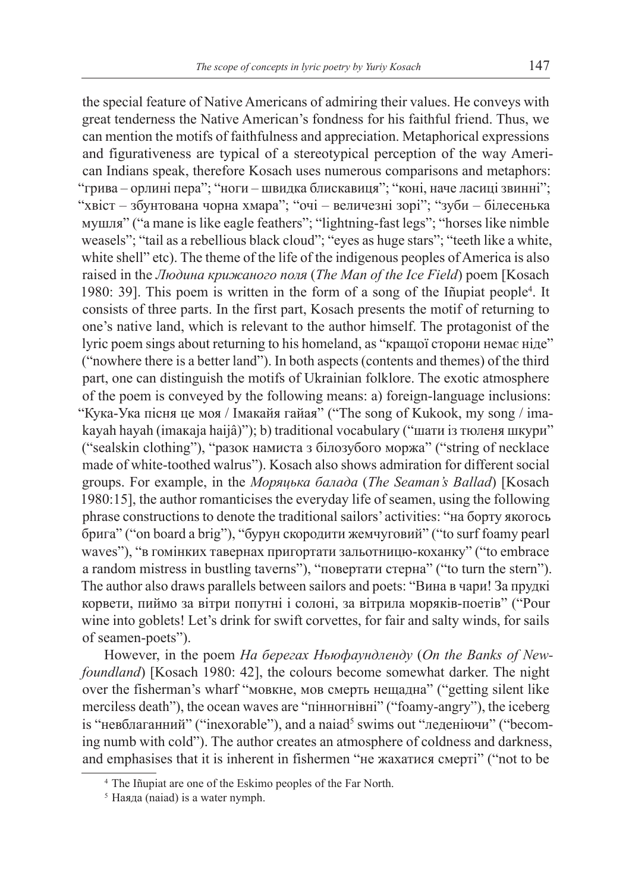the special feature of Native Americans of admiring their values. He conveys with great tenderness the Native American's fondness for his faithful friend. Thus, we can mention the motifs of faithfulness and appreciation. Metaphorical expressions and figurativeness are typical of a stereotypical perception of the way American Indians speak, therefore Kosach uses numerous comparisons and metaphors: "грива – орлині пера"; "ноги – швидка блискавиця"; "коні, наче ласиці звинні"; "хвіст – збунтована чорна хмара"; "очі – величезні зорі"; "зуби – білесенька мушля" ("a mane is like eagle feathers"; "lightning-fast legs"; "horses like nimble weasels"; "tail as a rebellious black cloud"; "eyes as huge stars"; "teeth like a white, white shell" etc). The theme of the life of the indigenous peoples of America is also raised in the *Людина крижаного поля* (*The Man of the Ice Field*) poem [Kosach 1980: 39]. This poem is written in the form of a song of the Iñupiat people<sup>4</sup>. It consists of three parts. In the first part, Kosach presents the motif of returning to one's native land, which is relevant to the author himself. The protagonist of the lyric poem sings about returning to his homeland, as "кращої сторони немає ніде" ("nowhere there is a better land"). In both aspects (contents and themes) of the third part, one can distinguish the motifs of Ukrainian folklore. The exotic atmosphere of the poem is conveyed by the following means: а) foreign-language inclusions: "Кука-Ука пісня це моя / Імакайя гайая" ("The song of Kukook, my song / imakayah hayah (imakaja haijâ)"); b) traditional vocabulary ("шати із тюленя шкури" ("sealskin clothing"), "разок намиста з білозубого моржа" ("string of necklace made of white-toothed walrus"). Kosach also shows admiration for different social groups. For example, in the *Моряцька балада* (*The Seaman's Ballad*) [Kosach 1980:15], the author romanticises the everyday life of seamen, using the following phrase constructions to denote the traditional sailors' activities: "на борту якогось брига" ("on board a brig"), "бурун скородити жемчуговий" ("to surf foamy pearl waves"), "в гомінких тавернах пригортати зальотницю-коханку" ("to embrace a random mistress in bustling taverns"), "повертати стерна" ("to turn the stern"). The author also draws parallels between sailors and poets: "Вина в чари! За прудкі корвети, пиймо за вітри попутні і солоні, за вітрила моряків-поетів" ("Pour wine into goblets! Let's drink for swift corvettes, for fair and salty winds, for sails of seamen-poets").

However, in the poem *На берегах Ньюфаундленду* (*On the Banks of Newfoundland*) [Kosach 1980: 42], the colours become somewhat darker. The night over the fisherman's wharf "мовкне, мов смерть нещадна" ("getting silent like merciless death"), the ocean waves are "пінногнівні" ("foamy-angry"), the iceberg is "невблаганний" ("inexorable"), and a naiad<sup>5</sup> swims out "леденію чи" ("becoming numb with cold"). The author creates an atmosphere of coldness and darkness, and emphasises that it is inherent in fishermen "не жахатися смерті" ("not to be

<sup>4</sup> The Iñupiat are one of the Eskimo peoples of the Far North.

<sup>5</sup> Наяда (naiad) is a water nymph.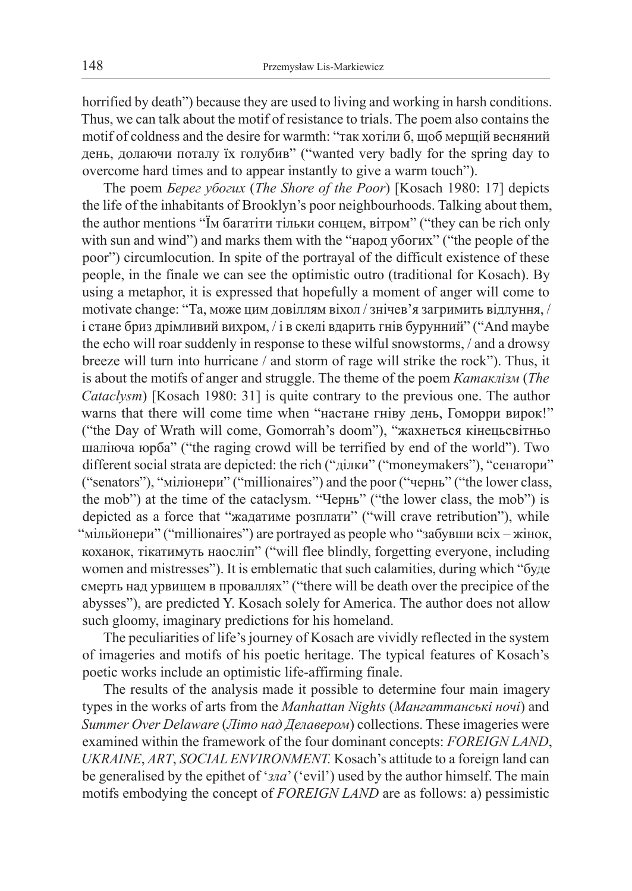horrified by death") because they are used to living and working in harsh conditions. Thus, we can talk about the motif of resistance to trials. The poem also contains the motif of coldness and the desire for warmth: "так хотіли б, щоб мерщій весняний день, долаючи поталу їх голубив" ("wanted very badly for the spring day to overcome hard times and to appear instantly to give a warm touch").

The poem *Берег убогих* (*The Shore of the Poor*) [Kosach 1980: 17] depicts the life of the inhabitants of Brooklyn's poor neighbourhoods. Talking about them, the author mentions "Їм багатіти тільки сонцем, вітром" ("they can be rich only with sun and wind") and marks them with the "народ убогих" ("the people of the poor") circumlocution. In spite of the portrayal of the difficult existence of these people, in the finale we can see the optimistic outro (traditional for Kosach). By using a metaphor, it is expressed that hopefully a moment of anger will come to motivate change: "Та, може цим довіллям віхол / знічев'я загримить відлуння, / і стане бриз дрімливий вихром, / і в скелі вдарить гнів бурунний" ("And maybe the echo will roar suddenly in response to these wilful snowstorms, / and a drowsy breeze will turn into hurricane / and storm of rage will strike the rock"). Thus, it is about the motifs of anger and struggle. The theme of the poem *Катаклізм* (*The Cataclysm*) [Kosach 1980: 31] is quite contrary to the previous one. The author warns that there will come time when "настане гніву день, Гоморри вирок!" ("the Day of Wrath will come, Gomorrah's doom"), "жахнеться кінецьсвітньо шаліюча юрба" ("the raging crowd will be terrified by end of the world"). Two different social strata are depicted: the rich ("ділки" ("moneymakers"), "сенатори" ("senators"), "міліонери" ("millionaires") and the poor ("чернь" ("the lower class, the mob") at the time of the cataclysm. "Чернь" ("the lower class, the mob") is depicted as a force that "жадатиме розплати" ("will crave retribution"), while "мільйонери" ("millionaires") are portrayed as people who "забувши всіх – жінок, коханок, тікатимуть наосліп" ("will flee blindly, forgetting everyone, including women and mistresses"). It is emblematic that such calamities, during which "буде смерть над урвищем в проваллях" ("there will be death over the precipice of the abysses"), are predicted Y. Kosach solely for America. The author does not allow such gloomy, imaginary predictions for his homeland.

The peculiarities of life's journey of Kosach are vividly reflected in the system of imageries and motifs of his poetic heritage. The typical features of Kosach's poetic works include an optimistic life-affirming finale.

The results of the analysis made it possible to determine four main imagery types in the works of arts from the *Manhattan Nights* (*Мангаттанські ночі*) and *Summer Over Delaware* (*Літо над Делавером*) collections. These imageries were examined within the framework of the four dominant concepts: *FOREIGN LAND*, *UKRAINE*, *ART*, *SOCIAL ENVIRONMENT.* Kosach's attitude to a foreign land can be generalised by the epithet of '*зла*' ('evil') used by the author himself. The main motifs embodying the concept of *FOREIGN LAND* are as follows: a) pessimistic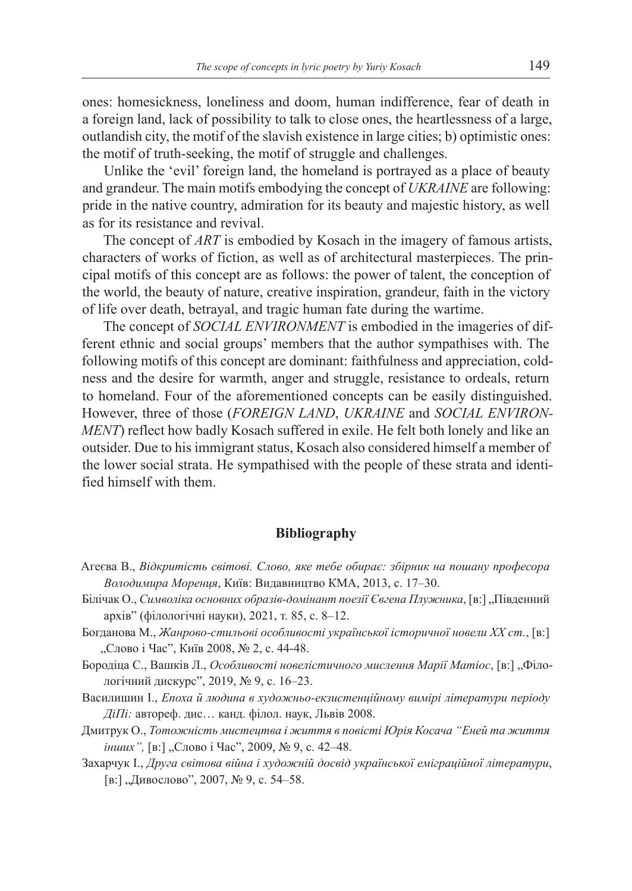ones: homesickness, loneliness and doom, human indifference, fear of death in a foreign land, lack of possibility to talk to close ones, the heartlessness of a large, outlandish city, the motif of the slavish existence in large cities; b) optimistic ones: the motif of truth-seeking, the motif of struggle and challenges.

Unlike the 'evil' foreign land, the homeland is portrayed as a place of beauty and grandeur. The main motifs embodying the concept of *UKRAINE* are following: pride in the native country, admiration for its beauty and majestic history, as well as for its resistance and revival.

The concept of *ART* is embodied by Kosach in the imagery of famous artists, characters of works of fiction, as well as of architectural masterpieces. The principal motifs of this concept are as follows: the power of talent, the conception of the world, the beauty of nature, creative inspiration, grandeur, faith in the victory of life over death, betrayal, and tragic human fate during the wartime.

The concept of *SOCIAL ENVIRONMENT* is embodied in the imageries of different ethnic and social groups' members that the author sympathises with. The following motifs of this concept are dominant: faithfulness and appreciation, coldness and the desire for warmth, anger and struggle, resistance to ordeals, return to homeland. Four of the aforementioned concepts can be easily distinguished. However, three of those (*FOREIGN LAND*, *UKRAINE* and *SOCIAL ENVIRON-MENT*) reflect how badly Kosach suffered in exile. He felt both lonely and like an outsider. Due to his immigrant status, Kosach also considered himself a member of the lower social strata. He sympathised with the people of these strata and identified himself with them.

## **Bibliography**

- Агеєва В., *Відкритість світові. Слово, яке тебе обирає: збірник на пошану професора Володимира Моренця*, Київ: Видавництво КМА, 2013, с. 17–30.
- Білічак О., *Символіка основних образів-домінант поезії Євгена Плужника*, [в:] "Південний архів" (філологічні науки), 2021, т. 85, с. 8*–*12.
- Богданова М., *Жанрово-стильові особливості української історичної новели ХХ ст.*, [в:] "Слово і Час", Київ 2008, № 2, с. 44-48.
- Бородіца С., Вашків Л., Особливості новелістичного мислення Марії Матіос, [в:] "Філологічний дискурс", 2019, № 9, с. 16–23.
- Василишин І., *Епоха й людина в художньо-екзистенційному вимірі літератури періоду ДіПі:* автореф. дис… канд. філол. наук, Львів 2008.
- Дмитрук О., *Тотожність мистецтва і життя в повісті Юрія Косача "Еней та життя інших"*, [в:] "Слово і Час", 2009, № 9, с. 42-48.
- Захарчук І., *Друга світова війна і художній досвід української еміграційної літератури*, [в:] "Дивослово", 2007, № 9, с. 54*–*58.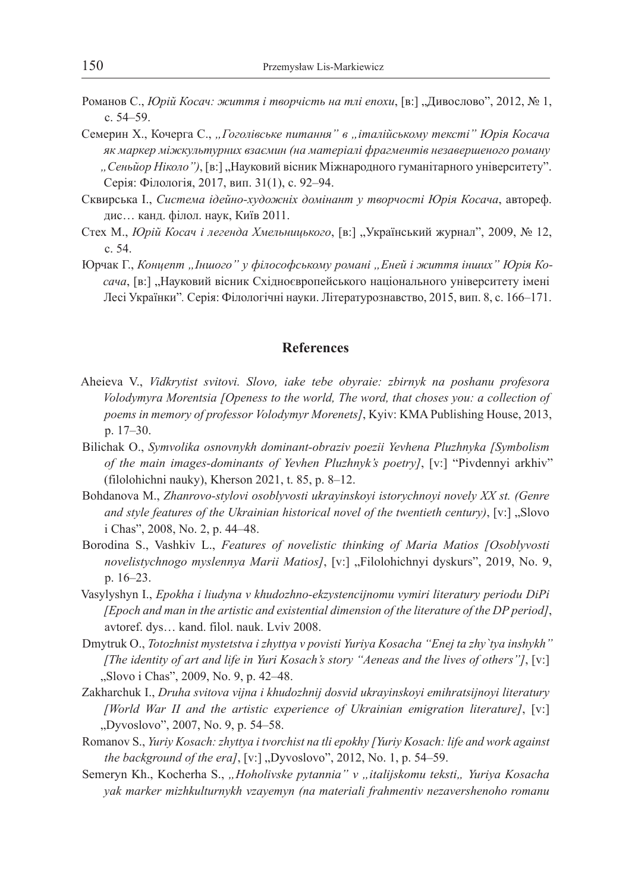- Романов С., *Юрій Косач: життя і творчість на тлі епохи*, [в:] "Дивослово", 2012, № 1, c. 54*–*59.
- Семерин X., Кочерга C., *"Гоголівське питання" в "італійському тексті" Юрія Косача як маркер міжкультурних взаємин (на матеріалі фрагментів незавершеного роману*  "Сеньйор Ніколо"), [в:] "Науковий вісник Міжнародного гуманітарного університету". Серія: Філологія, 2017, вип. 31(1), c. 92*–*94.
- Сквирська I., *Система ідейно-художніх домінант у творчості Юрія Косача*, автореф. дис… канд. філол. наук, Київ 2011.
- Стех M., *Юрій Косач і легенда Хмельницького*, [в:] "Український журнал", 2009, № 12, c. 54.
- Юрчак Г., *Концепт "Іншого" у філософському романі "Еней і життя інших" Юрія Косача*, [в:] "Науковий вісник Східноєвропейського національного університету імені Лесі Українки"*.* Серія: Філологічні науки. Літературознавство, 2015, вип. 8, c. 166*–*171.

### **References**

- Aheieva V., *Vidkrytist svitovi. Slovo, iake tebe obyraie: zbirnyk na poshanu profesora Volodymyra Morentsia [Openess to the world, The word, that choses you: a collection of poems in memory of professor Volodymyr Morenets]*, Kyiv: KMA Publishing House, 2013, p. 17–30.
- Bilichak O., *Symvolika osnovnykh dominant-obraziv poezii Yevhena Pluzhnyka [Symbolism of the main images-dominants of Yevhen Pluzhnyk's poetry]*, [v:] "Pivdennyi arkhiv" (filolohichni nauky), Kherson 2021, t. 85, p. 8*–*12.
- Bohdanova M., *Zhanrovo-stylovi osoblyvosti ukrayinskoyi istorychnoyi novely XX st. (Genre and style features of the Ukrainian historical novel of the twentieth century*), [v:] "Slovo i Chas", 2008, No. 2, p. 44–48.
- Borodina S., Vashkiv L., *Features of novelistic thinking of Maria Matios [Osoblyvosti novelistychnogo myslennya Marii Matios]*, [v:] "Filolohichnyi dyskurs", 2019, No. 9, p. 16–23.
- Vasylyshyn I., *Epokha i liudyna v khudozhno-ekzystencijnomu vymiri literatury periodu DiPi [Epoch and man in the artistic and existential dimension of the literature of the DP period]*, avtoref. dys… kand. filol. nauk. Lviv 2008.
- Dmytruk O., *Totozhnist mystetstva i zhyttya v povisti Yuriya Kosacha "Enej ta zhy`tya inshykh" [The identity of art and life in Yuri Kosach's story "Aeneas and the lives of others"]*, [v:] "Slovo i Chas", 2009, No. 9, p. 42*–*48.
- Zakharchuk I., *Druha svitova vijna i khudozhnij dosvid ukrayinskoyi emihratsijnoyi literatury [World War II and the artistic experience of Ukrainian emigration literature]*, [v:] "Dyvoslovo", 2007, No. 9, p. 54–58.
- Romanov S., *Yuriy Kosach: zhyttya i tvorchist na tli epokhy [Yuriy Kosach: life and work against the background of the era]*, [v:] "Dyvoslovo", 2012, No. 1, p. 54*–*59.
- Semeryn Kh., Kocherha S., "Hoholivske pytannia" v "italijskomu teksti" Yuriya Kosacha *yak marker mizhkulturnykh vzayemyn (na materiali frahmentiv nezavershenoho romanu*